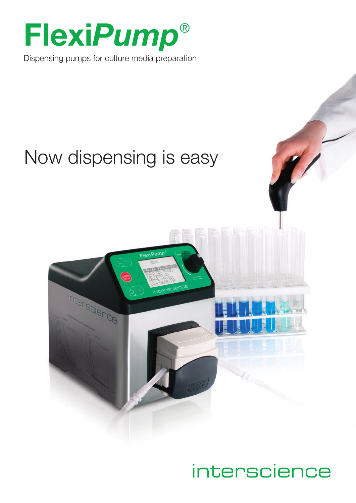

Dispensing pumps for culture media preparation

# Now dispensing is easy



# interscience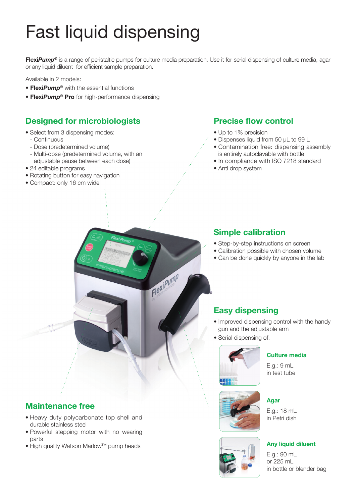# Fast liquid dispensing

**Flexi***Pump***®** is a range of peristaltic pumps for culture media preparation. Use it for serial dispensing of culture media, agar or any liquid diluent for efficient sample preparation.

Flexi Pump

Available in 2 models:

- **Flexi***Pump***®** with the essential functions
- **Flexi***Pump***® Pro** for high-performance dispensing

## **Designed for microbiologists**

- Select from 3 dispensing modes:
	- Continuous
	- Dose (predetermined volume)
	- Multi-dose (predetermined volume, with an adjustable pause between each dose)
- 24 editable programs
- Rotating button for easy navigation
- Compact: only 16 cm wide

### **Precise flow control**

- Up to 1% precision
- Dispenses liquid from 50 μL to 99 L
- Contamination free: dispensing assembly is entirely autoclavable with bottle
- In compliance with ISO 7218 standard
- Anti drop system

### **Simple calibration**

- Step-by-step instructions on screen
- Calibration possible with chosen volume
- Can be done quickly by anyone in the lab

## **Easy dispensing**

- Improved dispensing control with the handy gun and the adjustable arm
- Serial dispensing of:



### **Culture media**

E.g.: 9 mL in test tube

**Agar**

## **Maintenance free**

- Heavy duty polycarbonate top shell and durable stainless steel
- Powerful stepping motor with no wearing parts
- High quality Watson Marlow™ pump heads





E.g.: 18 mL in Petri dish

#### **Any liquid diluent**

E.g.: 90 mL or 225 mL in bottle or blender bag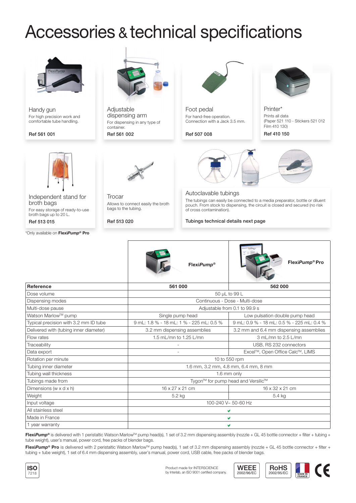# Accessories & technical specifications



Handy gun For high precision work and comfortable tube handling.

#### Ref 561 001



Independent stand for broth bags For easy storage of ready-to-use broth bags up to 20 L. Ref 513 015

\*Only available on **Flexi***Pump***® Pro**



**Adjustable** dispensing arm For dispensing in any type of container.

#### Ref 561 002



**Trocar** Allows to connect easily the broth bags to the tubing.

Ref 513 020



Foot pedal For hand-free operation. Connection with a Jack 3.5 mm.

Ref 507 008





**Printer** Prints all data



#### Autoclavable tubings

The tubings can easily be connected to a media preparator, bottle or diluent pouch. From stock to dispensing, the circuit is closed and secured (no risk of cross contamination).

#### Tubings technical details next page



**Reference 561 000 562 000** Dose volume 50 μL to 99 L Dispensing modes Continuous - Dose - Multi-dose Multi-dose pause and the set of the set of the matter of the Multi-dose pause Adjustable from 0.1 to 99.9 s Watson Marlow™ pump Nead Number Single pump head Number 2012 Low pulsation double pump head Typical precision with 3.2 mm ID tube 9 mL: 1.8 % - 18 mL: 1 % - 225 mL: 0.5 % 9 mL: 0.9 % - 18 mL: 0.5 % - 225 mL: 0.4 % Delivered with (tubing inner diameter) 3.2 mm dispensing assemblies 3.2 mm and 6.4 mm dispensing assemblies Flow rates 1.5 mL/mn to 1.25 L/mn 3 mL/mn to 2.5 L/mn Traceability **Traceability Connection Connection Connection Connection Connection Connection Connection** Connection Connection Connection Connection Connection Connection Connection Connection Connection Connection Conne Data export and the state of the state of the state of the state of the Excel™, Open Office Calc™, LIMS Rotation per minute and the 10 to 550 rpm Tubing inner diameter 1.6 mm, 3.2 mm, 4.8 mm, 6.4 mm, 8 mm Tubing wall thickness and the state of the state of the state of the state of the state of the state of the state of the state of the state of the state of the state of the state of the state of the state of the state of t Tubings made from the state of the state of the Tygon™ for pump head and Versilic™ for pump head and Versilic™ Dimensions (w x d x h) 16 x 27 x 21 cm 16 x 27 x 21 cm 16 x 32 x 21 cm Weight 5.4 kg 5.4 kg  $\vert$  5.2 kg 5.4 kg 5.4 kg 5.4 kg  $\vert$  5.4 kg  $\vert$  5.4 kg  $\vert$  5.4 kg  $\vert$ Input voltage 100-240 V~ 50-60 Hz All stainless steel Made in France 1 year warranty

**FlexiPump®** is delivered with 1 peristaltic Watson Marlow™ pump head(s), 1 set of 3.2 mm dispensing assembly (nozzle + GL 45 bottle connector + filter + tubing + tube weight), user's manual, power cord, free packs of blender bags.

FlexiPump<sup>®</sup> Pro is delivered with 2 peristaltic Watson Marlow<sup>TM</sup> pump head(s), 1 set of 3.2 mm dispensing assembly (nozzle + GL 45 bottle connector + filter + tubing + tube weight), 1 set of 6.4 mm dispensing assembly, user's manual, power cord, USB cable, free packs of blender bags.





**FRANCE**

CE